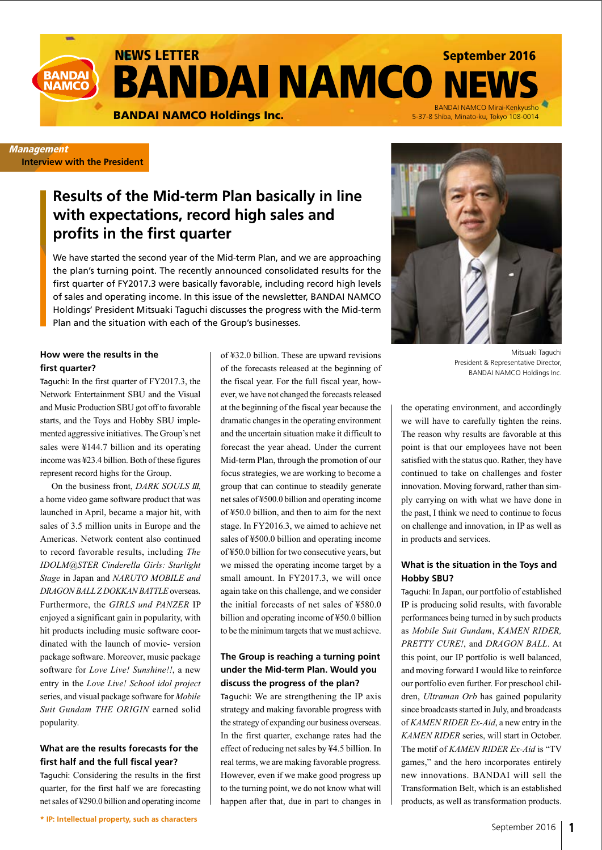

**Management Interview with the President**

# **Results of the Mid-term Plan basically in line with expectations, record high sales and profits in the first quarter**

We have started the second year of the Mid-term Plan, and we are approaching the plan's turning point. The recently announced consolidated results for the first quarter of FY2017.3 were basically favorable, including record high levels of sales and operating income. In this issue of the newsletter, BANDAI NAMCO Holdings' President Mitsuaki Taguchi discusses the progress with the Mid-term Plan and the situation with each of the Group's businesses.

## **How were the results in the first quarter?**

Taguchi: In the first quarter of FY2017.3, the Network Entertainment SBU and the Visual and Music Production SBU got off to favorable starts, and the Toys and Hobby SBU implemented aggressive initiatives. The Group's net sales were ¥144.7 billion and its operating income was ¥23.4 billion. Both of these figures represent record highs for the Group.

On the business front, *DARK SOULS III*, a home video game software product that was launched in April, became a major hit, with sales of 3.5 million units in Europe and the Americas. Network content also continued to record favorable results, including *The IDOLM@STER Cinderella Girls: Starlight Stage* in Japan and *NARUTO MOBILE and DRAGON BALL Z DOKKAN BATTLE* overseas. Furthermore, the *GIRLS und PANZER* IP enjoyed a significant gain in popularity, with hit products including music software coordinated with the launch of movie- version package software. Moreover, music package software for *Love Live! Sunshine!!*, a new entry in the *Love Live! School idol project* series, and visual package software for *Mobile Suit Gundam THE ORIGIN* earned solid popularity.

## **What are the results forecasts for the first half and the full fiscal year?**

Taguchi: Considering the results in the first quarter, for the first half we are forecasting net sales of ¥290.0 billion and operating income of ¥32.0 billion. These are upward revisions of the forecasts released at the beginning of the fiscal year. For the full fiscal year, however, we have not changed the forecasts released at the beginning of the fiscal year because the dramatic changes in the operating environment and the uncertain situation make it difficult to forecast the year ahead. Under the current Mid-term Plan, through the promotion of our focus strategies, we are working to become a group that can continue to steadily generate net sales of ¥500.0 billion and operating income of ¥50.0 billion, and then to aim for the next stage. In FY2016.3, we aimed to achieve net sales of ¥500.0 billion and operating income of ¥50.0 billion for two consecutive years, but we missed the operating income target by a small amount. In FY2017.3, we will once again take on this challenge, and we consider the initial forecasts of net sales of ¥580.0 billion and operating income of ¥50.0 billion to be the minimum targets that we must achieve.

## **The Group is reaching a turning point under the Mid-term Plan. Would you discuss the progress of the plan?**

Taguchi: We are strengthening the IP axis strategy and making favorable progress with the strategy of expanding our business overseas. In the first quarter, exchange rates had the effect of reducing net sales by ¥4.5 billion. In real terms, we are making favorable progress. However, even if we make good progress up to the turning point, we do not know what will happen after that, due in part to changes in



Mitsuaki Taguchi President & Representative Director, BANDAI NAMCO Holdings Inc.

the operating environment, and accordingly we will have to carefully tighten the reins. The reason why results are favorable at this point is that our employees have not been satisfied with the status quo. Rather, they have continued to take on challenges and foster innovation. Moving forward, rather than simply carrying on with what we have done in the past, I think we need to continue to focus on challenge and innovation, in IP as well as in products and services.

#### **What is the situation in the Toys and Hobby SBU?**

Taguchi: In Japan, our portfolio of established IP is producing solid results, with favorable performances being turned in by such products as *Mobile Suit Gundam*, *KAMEN RIDER, PRETTY CURE!*, and *DRAGON BALL*. At this point, our IP portfolio is well balanced, and moving forward I would like to reinforce our portfolio even further. For preschool children, *Ultraman Orb* has gained popularity since broadcasts started in July, and broadcasts of *KAMEN RIDER Ex-Aid*, a new entry in the *KAMEN RIDER* series, will start in October. The motif of *KAMEN RIDER Ex-Aid* is "TV games," and the hero incorporates entirely new innovations. BANDAI will sell the Transformation Belt, which is an established products, as well as transformation products.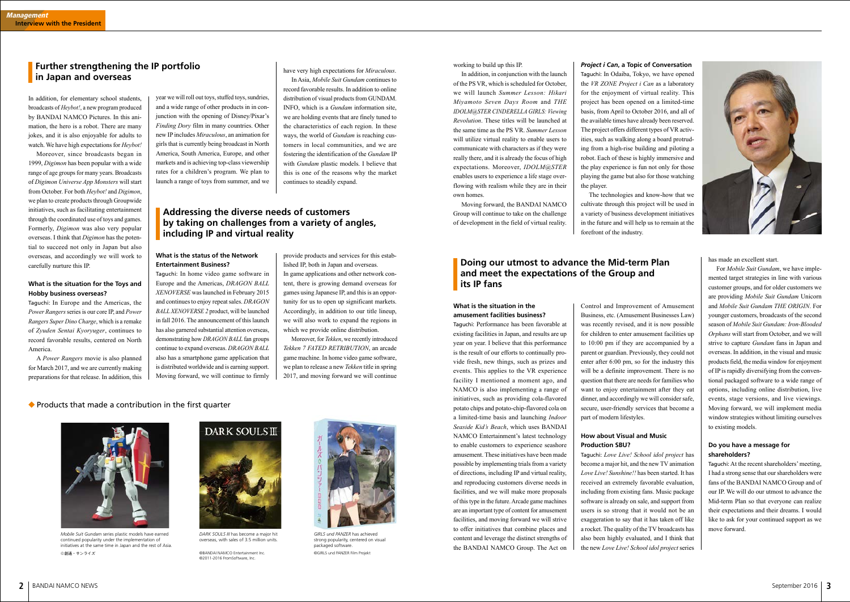year we will roll out toys, stuffed toys, sundries, and a wide range of other products in in conjunction with the opening of Disney/Pixar's *Finding Dory* film in many countries. Other new IP includes *Miraculous*, an animation for girls that is currently being broadcast in North America, South America, Europe, and other markets and is achieving top-class viewership rates for a children's program. We plan to launch a range of toys from summer, and we have very high expectations for *Miraculous*.

In Asia, *Mobile Suit Gundam* continues to record favorable results. In addition to online distribution of visual products from GUNDAM. INFO, which is a *Gundam* information site, we are holding events that are finely tuned to the characteristics of each region. In these ways, the world of *Gundam* is reaching customers in local communities, and we are fostering the identification of the *Gundam* IP with *Gundam* plastic models. I believe that this is one of the reasons why the market continues to steadily expand.

# **Further strengthening the IP portfolio in Japan and overseas**

#### **What is the status of the Network Entertainment Business?**

Taguchi: In home video game software in Europe and the Americas, *DRAGON BALL XENOVERSE* was launched in February 2015 and continues to enjoy repeat sales. *DRAGON BALL XENOVERSE 2* product, will be launched in fall 2016. The announcement of this launch has also garnered substantial attention overseas, demonstrating how *DRAGON BALL* fan groups continue to expand overseas. *DRAGON BALL* also has a smartphone game application that is distributed worldwide and is earning support. Moving forward, we will continue to firmly

> *DARK SOULS III* has become a major hit overseas, with sales of 3.5 million units.

# **Addressing the diverse needs of customers by taking on challenges from a variety of angles, including IP and virtual reality**



©創通・サンライズ *Mobile Suit Gundam* series plastic models have earned continued popularity under the implementation of initiatives at the same time in Japan and the rest of Asia.

# DARK SOULS III

In addition, for elementary school students, broadcasts of *Heybot!*, a new program produced by BANDAI NAMCO Pictures. In this animation, the hero is a robot. There are many jokes, and it is also enjoyable for adults to watch. We have high expectations for *Heybot!*

Moreover, since broadcasts began in 1999, *Digimon* has been popular with a wide range of age groups for many years. Broadcasts of *Digimon Universe App Monsters* will start from October. For both *Heybot!* and *Digimon*, we plan to create products through Groupwide initiatives, such as facilitating entertainment through the coordinated use of toys and games. Formerly, *Digimon* was also very popular overseas. I think that *Digimon* has the potential to succeed not only in Japan but also overseas, and accordingly we will work to carefully nurture this IP.

#### **What is the situation for the Toys and Hobby business overseas?**

Taguchi: In Europe and the Americas, the *Power Rangers* series is our core IP, and *Power Rangers Super Dino Charge*, which is a remake of *Zyuden Sentai Kyoryuger*, continues to record favorable results, centered on North America.

A *Power Rangers* movie is also planned for March 2017, and we are currently making preparations for that release. In addition, this provide products and services for this established IP, both in Japan and overseas. In game applications and other network content, there is growing demand overseas for games using Japanese IP, and this is an opportunity for us to open up significant markets. Accordingly, in addition to our title lineup, we will also work to expand the regions in which we provide online distribution.

Moreover, for *Tekken*, we recently introduced *Tekken 7 FATED RETRIBUTION*, an arcade game machine. In home video game software, we plan to release a new *Tekken* title in spring 2017, and moving forward we will continue

# $\blacklozenge$  Products that made a contribution in the first quarter

## **What is the situation in the amusement facilities business?**

Taguchi: Performance has been favorable at existing facilities in Japan, and results are up year on year. I believe that this performance is the result of our efforts to continually provide fresh, new things, such as prizes and events. This applies to the VR experience facility I mentioned a moment ago, and NAMCO is also implementing a range of initiatives, such as providing cola-flavored potato chips and potato-chip-flavored cola on a limited-time basis and launching *Indoor Seaside Kid's Beach*, which uses BANDAI NAMCO Entertainment's latest technology to enable customers to experience seashore amusement. These initiatives have been made possible by implementing trials from a variety of directions, including IP and virtual reality, and reproducing customers diverse needs in facilities, and we will make more proposals of this type in the future. Arcade game machines are an important type of content for amusement facilities, and moving forward we will strive to offer initiatives that combine places and content and leverage the distinct strengths of the BANDAI NAMCO Group. The Act on



*GIRLS und PANZER* has achieved strong popularity, centered on visual packaged software ©GIRLS und PANZER Film Projekt

working to build up this IP.

In addition, in conjunction with the launch of the PS VR, which is scheduled for October, we will launch *Summer Lesson: Hikari Miyamoto Seven Days Room* and *THE IDOLM@STER CINDERELLA GIRLS: Viewing Revolution*. These titles will be launched at the same time as the PS VR. *Summer Lesson* will utilize virtual reality to enable users to communicate with characters as if they were really there, and it is already the focus of high expectations. Moreover, *IDOLM@STER* enables users to experience a life stage overflowing with realism while they are in their own homes.

Moving forward, the BANDAI NAMCO Group will continue to take on the challenge of development in the field of virtual reality.

# **Doing our utmost to advance the Mid-term Plan and meet the expectations of the Group and its IP fans**

## *Project i Can***, a Topic of Conversation**

Taguchi: In Odaiba, Tokyo, we have opened the *VR ZONE Project i Can* as a laboratory for the enjoyment of virtual reality. This project has been opened on a limited-time basis, from April to October 2016, and all of the available times have already been reserved. The project offers different types of VR activities, such as walking along a board protruding from a high-rise building and piloting a robot. Each of these is highly immersive and the play experience is fun not only for those playing the game but also for those watching the player.

The technologies and know-how that we cultivate through this project will be used in a variety of business development initiatives in the future and will help us to remain at the forefront of the industry.

Control and Improvement of Amusement Business, etc. (Amusement Businesses Law) was recently revised, and it is now possible for children to enter amusement facilities up to 10:00 pm if they are accompanied by a parent or guardian. Previously, they could not enter after 6:00 pm, so for the industry this will be a definite improvement. There is no question that there are needs for families who want to enjoy entertainment after they eat dinner, and accordingly we will consider safe, secure, user-friendly services that become a part of modern lifestyles.

#### **How about Visual and Music Production SBU?**

Taguchi: *Love Live! School idol project* has become a major hit, and the new TV animation *Love Live! Sunshine!!* has been started. It has received an extremely favorable evaluation, including from existing fans. Music package software is already on sale, and support from users is so strong that it would not be an exaggeration to say that it has taken off like a rocket. The quality of the TV broadcasts has also been highly evaluated, and I think that the new *Love Live! School idol project* series has made an excellent start.

For *Mobile Suit Gundam*, we have implemented target strategies in line with various customer groups, and for older customers we are providing *Mobile Suit Gundam* Unicorn and *Mobile Suit Gundam THE ORIGIN*. For younger customers, broadcasts of the second season of *Mobile Suit Gundam: Iron-Blooded Orphans* will start from October, and we will strive to capture *Gundam* fans in Japan and overseas. In addition, in the visual and music products field, the media window for enjoyment of IP is rapidly diversifying from the conventional packaged software to a wide range of options, including online distribution, live events, stage versions, and live viewings. Moving forward, we will implement media window strategies without limiting ourselves to existing models.

## **Do you have a message for shareholders?**

Taguchi: At the recent shareholders' meeting, I had a strong sense that our shareholders were fans of the BANDAI NAMCO Group and of our IP. We will do our utmost to advance the Mid-term Plan so that everyone can realize their expectations and their dreams. I would like to ask for your continued support as we move forward.

©BANDAI NAMCO Entertainment Inc. ©2011-2016 FromSoftware, Inc.